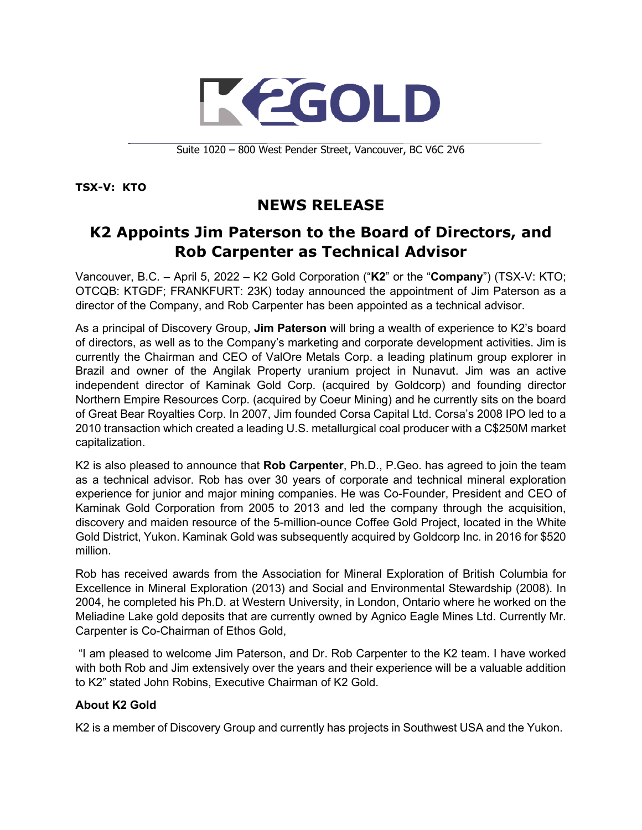

Suite 1020 – 800 West Pender Street, Vancouver, BC V6C 2V6

**TSX-V: KTO**

## **NEWS RELEASE**

## **K2 Appoints Jim Paterson to the Board of Directors, and Rob Carpenter as Technical Advisor**

Vancouver, B.C. – April 5, 2022 – K2 Gold Corporation ("**K2**" or the "**Company**") (TSX-V: KTO; OTCQB: KTGDF; FRANKFURT: 23K) today announced the appointment of Jim Paterson as a director of the Company, and Rob Carpenter has been appointed as a technical advisor.

As a principal of Discovery Group, **Jim Paterson** will bring a wealth of experience to K2's board of directors, as well as to the Company's marketing and corporate development activities. Jim is currently the Chairman and CEO of ValOre Metals Corp. a leading platinum group explorer in Brazil and owner of the Angilak Property uranium project in Nunavut. Jim was an active independent director of Kaminak Gold Corp. (acquired by Goldcorp) and founding director Northern Empire Resources Corp. (acquired by Coeur Mining) and he currently sits on the board of Great Bear Royalties Corp. In 2007, Jim founded Corsa Capital Ltd. Corsa's 2008 IPO led to a 2010 transaction which created a leading U.S. metallurgical coal producer with a C\$250M market capitalization.

K2 is also pleased to announce that **Rob Carpenter**, Ph.D., P.Geo. has agreed to join the team as a technical advisor. Rob has over 30 years of corporate and technical mineral exploration experience for junior and major mining companies. He was Co-Founder, President and CEO of Kaminak Gold Corporation from 2005 to 2013 and led the company through the acquisition, discovery and maiden resource of the 5-million-ounce Coffee Gold Project, located in the White Gold District, Yukon. Kaminak Gold was subsequently acquired by Goldcorp Inc. in 2016 for \$520 million.

Rob has received awards from the Association for Mineral Exploration of British Columbia for Excellence in Mineral Exploration (2013) and Social and Environmental Stewardship (2008). In 2004, he completed his Ph.D. at Western University, in London, Ontario where he worked on the Meliadine Lake gold deposits that are currently owned by Agnico Eagle Mines Ltd. Currently Mr. Carpenter is Co-Chairman of Ethos Gold,

"I am pleased to welcome Jim Paterson, and Dr. Rob Carpenter to the K2 team. I have worked with both Rob and Jim extensively over the years and their experience will be a valuable addition to K2" stated John Robins, Executive Chairman of K2 Gold.

## **About K2 Gold**

K2 is a member of Discovery Group and currently has projects in Southwest USA and the Yukon.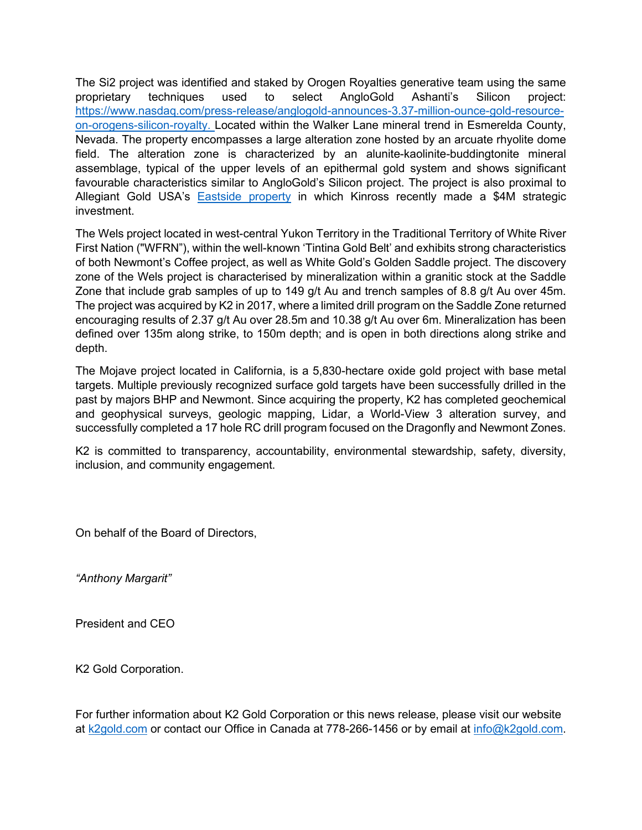The Si2 project was identified and staked by Orogen Royalties generative team using the same proprietary techniques used to select AngloGold Ashanti's Silicon project: [https://www.nasdaq.com/press-release/anglogold-announces-3.37-million-ounce-gold-resource](https://www.nasdaq.com/press-release/anglogold-announces-3.37-million-ounce-gold-resource-on-orogens-silicon-royalty)[on-orogens-silicon-royalty.](https://www.nasdaq.com/press-release/anglogold-announces-3.37-million-ounce-gold-resource-on-orogens-silicon-royalty) Located within the Walker Lane mineral trend in Esmerelda County, Nevada. The property encompasses a large alteration zone hosted by an arcuate rhyolite dome field. The alteration zone is characterized by an alunite-kaolinite-buddingtonite mineral assemblage, typical of the upper levels of an epithermal gold system and shows significant favourable characteristics similar to AngloGold's Silicon project. The project is also proximal to Allegiant Gold USA's [Eastside property](file://UXENSVR/Users/anthonymargarit/Documents/K2%20Gold/Press%20Releases/Si2/auau_nr_2022_03_14_-_kinross_strategic_investment_-final.pdf) in which Kinross recently made a \$4M strategic investment.

The Wels project located in west-central Yukon Territory in the Traditional Territory of White River First Nation ("WFRN"), within the well-known 'Tintina Gold Belt' and exhibits strong characteristics of both Newmont's Coffee project, as well as White Gold's Golden Saddle project. The discovery zone of the Wels project is characterised by mineralization within a granitic stock at the Saddle Zone that include grab samples of up to 149 g/t Au and trench samples of 8.8 g/t Au over 45m. The project was acquired by K2 in 2017, where a limited drill program on the Saddle Zone returned encouraging results of 2.37 g/t Au over 28.5m and 10.38 g/t Au over 6m. Mineralization has been defined over 135m along strike, to 150m depth; and is open in both directions along strike and depth.

The Mojave project located in California, is a 5,830-hectare oxide gold project with base metal targets. Multiple previously recognized surface gold targets have been successfully drilled in the past by majors BHP and Newmont. Since acquiring the property, K2 has completed geochemical and geophysical surveys, geologic mapping, Lidar, a World-View 3 alteration survey, and successfully completed a 17 hole RC drill program focused on the Dragonfly and Newmont Zones.

K2 is committed to transparency, accountability, environmental stewardship, safety, diversity, inclusion, and community engagement.

On behalf of the Board of Directors,

*"Anthony Margarit"* 

President and CEO

K2 Gold Corporation.

For further information about K2 Gold Corporation or this news release, please visit our website at [k2gold.com](http://k2gold.com/) or contact our Office in Canada at 778-266-1456 or by email at [info@k2gold.com.](mailto:info@k2gold.com)